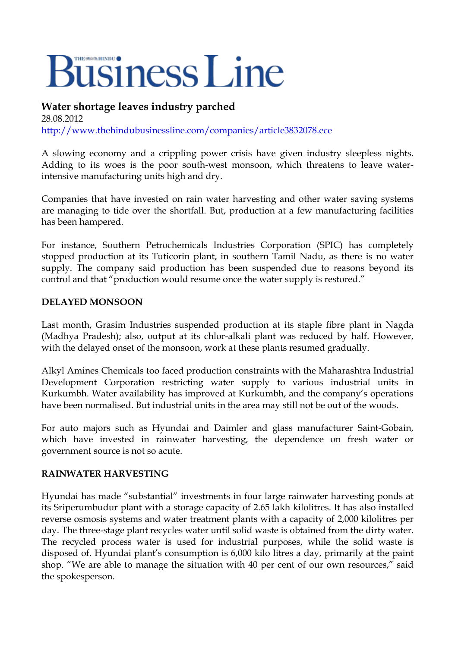## **Business Line**

## **Water shortage leaves industry parched**

28.08.2012 <http://www.thehindubusinessline.com/companies/article3832078.ece>

A slowing economy and a crippling power crisis have given industry sleepless nights. Adding to its woes is the poor south-west monsoon, which threatens to leave waterintensive manufacturing units high and dry.

Companies that have invested on rain water harvesting and other water saving systems are managing to tide over the shortfall. But, production at a few manufacturing facilities has been hampered.

For instance, Southern Petrochemicals Industries Corporation (SPIC) has completely stopped production at its Tuticorin plant, in southern Tamil Nadu, as there is no water supply. The company said production has been suspended due to reasons beyond its control and that "production would resume once the water supply is restored."

## **DELAYED MONSOON**

Last month, Grasim Industries suspended production at its staple fibre plant in Nagda (Madhya Pradesh); also, output at its chlor-alkali plant was reduced by half. However, with the delayed onset of the monsoon, work at these plants resumed gradually.

Alkyl Amines Chemicals too faced production constraints with the Maharashtra Industrial Development Corporation restricting water supply to various industrial units in Kurkumbh. Water availability has improved at Kurkumbh, and the company's operations have been normalised. But industrial units in the area may still not be out of the woods.

For auto majors such as Hyundai and Daimler and glass manufacturer Saint-Gobain, which have invested in rainwater harvesting, the dependence on fresh water or government source is not so acute.

## **RAINWATER HARVESTING**

Hyundai has made "substantial" investments in four large rainwater harvesting ponds at its Sriperumbudur plant with a storage capacity of 2.65 lakh kilolitres. It has also installed reverse osmosis systems and water treatment plants with a capacity of 2,000 kilolitres per day. The three-stage plant recycles water until solid waste is obtained from the dirty water. The recycled process water is used for industrial purposes, while the solid waste is disposed of. Hyundai plant's consumption is 6,000 kilo litres a day, primarily at the paint shop. "We are able to manage the situation with 40 per cent of our own resources," said the spokesperson.